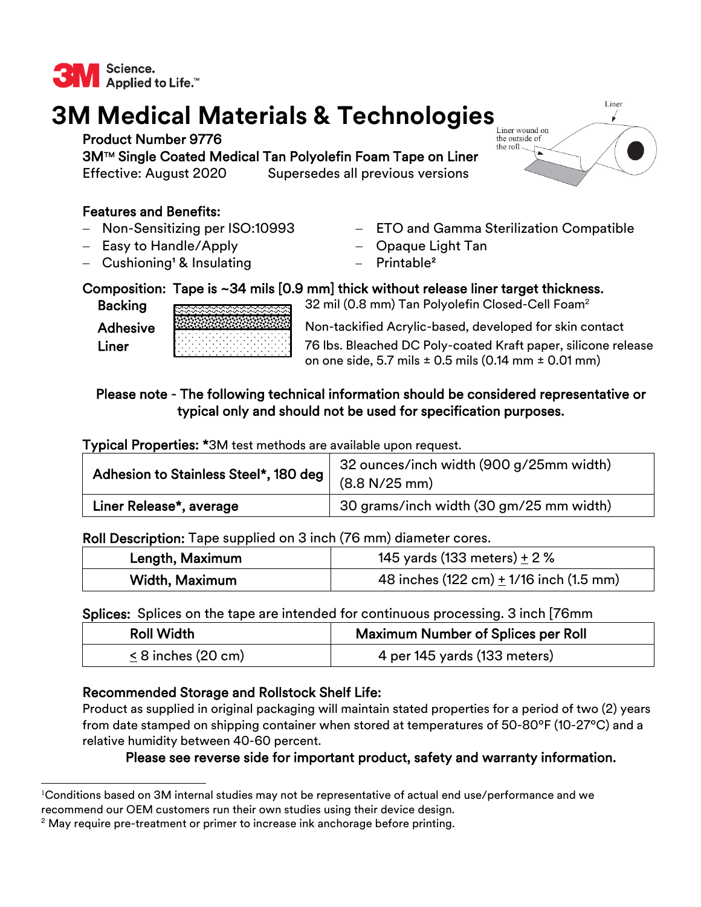

# **3M Medical Materials & Technologies**

Product Number 9776

3MTM Single Coated Medical Tan Polyolefin Foam Tape on Liner Effective: August 2020 Supersedes all previous versions

## Features and Benefits:

- Non-Sensitizing per ISO:10993
- Easy to Handle/Apply
- $-$  Cushioning<sup>1</sup> & Insulating
- ETO and Gamma Sterilization Compatible
- Opaque Light Tan
- Printable<sup>2</sup>

## Composition: Tape is ~34 mils [0.9 mm] thick without release liner target thickness.

Backing resessessessessesses 32 mil (0.8 mm) Tan Polyolefin Closed-Cell Foam<sup>2</sup>

Adhesive Autorican Non-tackified Acrylic-based, developed for skin contact **Liner** 76 lbs. Bleached DC Poly-coated Kraft paper, silicone release on one side, 5.7 mils ± 0.5 mils (0.14 mm ± 0.01 mm)

## Please note - The following technical information should be considered representative or typical only and should not be used for specification purposes.

Typical Properties: \*3M test methods are available upon request.

| Adhesion to Stainless Steel*, 180 deg | 32 ounces/inch width (900 g/25mm width) |
|---------------------------------------|-----------------------------------------|
|                                       | (8.8 N/25 mm)                           |
| Liner Release*, average               | 30 grams/inch width (30 gm/25 mm width) |

#### Roll Description: Tape supplied on 3 inch (76 mm) diameter cores.

| Length, Maximum | 145 yards (133 meters) $\pm$ 2 %                            |
|-----------------|-------------------------------------------------------------|
| Width, Maximum  | 48 inches $(122 \text{ cm}) + 1/16$ inch $(1.5 \text{ mm})$ |

#### Splices: Splices on the tape are intended for continuous processing. 3 inch [76mm

| <b>Roll Width</b>       | <b>Maximum Number of Splices per Roll</b> |
|-------------------------|-------------------------------------------|
| $\leq$ 8 inches (20 cm) | 4 per 145 yards (133 meters)              |

## Recommended Storage and Rollstock Shelf Life:

Product as supplied in original packaging will maintain stated properties for a period of two (2) years from date stamped on shipping container when stored at temperatures of 50-80ºF (10-27ºC) and a relative humidity between 40-60 percent.

## Please see reverse side for important product, safety and warranty information.



<sup>1</sup> Conditions based on 3M internal studies may not be representative of actual end use/performance and we recommend our OEM customers run their own studies using their device design.

 $2$  May require pre-treatment or primer to increase ink anchorage before printing.